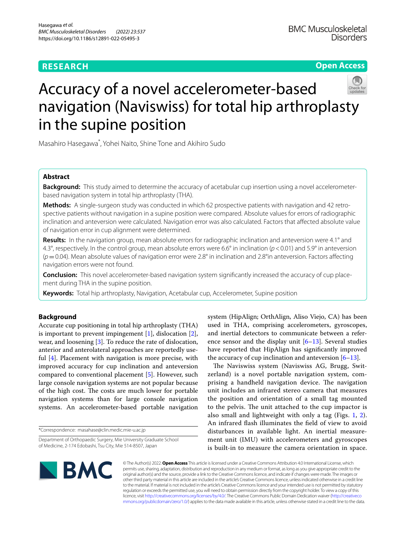## **RESEARCH**

**Open Access**

# Accuracy of a novel accelerometer-based navigation (Naviswiss) for total hip arthroplasty in the supine position

Masahiro Hasegawa\* , Yohei Naito, Shine Tone and Akihiro Sudo

## **Abstract**

**Background:** This study aimed to determine the accuracy of acetabular cup insertion using a novel accelerometerbased navigation system in total hip arthroplasty (THA).

**Methods:** A single-surgeon study was conducted in which 62 prospective patients with navigation and 42 retrospective patients without navigation in a supine position were compared. Absolute values for errors of radiographic inclination and anteversion were calculated. Navigation error was also calculated. Factors that afected absolute value of navigation error in cup alignment were determined.

**Results:** In the navigation group, mean absolute errors for radiographic inclination and anteversion were 4.1° and 4.3°, respectively. In the control group, mean absolute errors were 6.6° in inclination (*p*<0.01) and 5.9° in anteversion (*p*=0.04). Mean absolute values of navigation error were 2.8° in inclination and 2.8°in anteversion. Factors afecting navigation errors were not found.

**Conclusion:** This novel accelerometer-based navigation system signifcantly increased the accuracy of cup placement during THA in the supine position.

**Keywords:** Total hip arthroplasty, Navigation, Acetabular cup, Accelerometer, Supine position

## **Background**

Accurate cup positioning in total hip arthroplasty (THA) is important to prevent impingement [\[1](#page-5-0)], dislocation [\[2](#page-5-1)], wear, and loosening [\[3](#page-5-2)]. To reduce the rate of dislocation, anterior and anterolateral approaches are reportedly useful [\[4](#page-5-3)]. Placement with navigation is more precise, with improved accuracy for cup inclination and anteversion compared to conventional placement [[5\]](#page-5-4). However, such large console navigation systems are not popular because of the high cost. The costs are much lower for portable navigation systems than for large console navigation systems. An accelerometer-based portable navigation

\*Correspondence: masahase@clin.medic.mie-u.ac.jp

system (HipAlign; OrthAlign, Aliso Viejo, CA) has been used in THA, comprising accelerometers, gyroscopes, and inertial detectors to communicate between a reference sensor and the display unit  $[6–13]$  $[6–13]$  $[6–13]$ . Several studies have reported that HipAlign has signifcantly improved the accuracy of cup inclination and anteversion  $[6-13]$  $[6-13]$ .

The Naviswiss system (Naviswiss AG, Brugg, Switzerland) is a novel portable navigation system, comprising a handheld navigation device. The navigation unit includes an infrared stereo camera that measures the position and orientation of a small tag mounted to the pelvis. The unit attached to the cup impactor is also small and lightweight with only a tag (Figs. [1,](#page-1-0) [2](#page-1-1)). An infrared fash illuminates the feld of view to avoid disturbances in available light. An inertial measurement unit (IMU) with accelerometers and gyroscopes is built-in to measure the camera orientation in space.



© The Author(s) 2022. **Open Access** This article is licensed under a Creative Commons Attribution 4.0 International License, which permits use, sharing, adaptation, distribution and reproduction in any medium or format, as long as you give appropriate credit to the original author(s) and the source, provide a link to the Creative Commons licence, and indicate if changes were made. The images or other third party material in this article are included in the article's Creative Commons licence, unless indicated otherwise in a credit line to the material. If material is not included in the article's Creative Commons licence and your intended use is not permitted by statutory regulation or exceeds the permitted use, you will need to obtain permission directly from the copyright holder. To view a copy of this licence, visit [http://creativecommons.org/licenses/by/4.0/.](http://creativecommons.org/licenses/by/4.0/) The Creative Commons Public Domain Dedication waiver ([http://creativeco](http://creativecommons.org/publicdomain/zero/1.0/) [mmons.org/publicdomain/zero/1.0/](http://creativecommons.org/publicdomain/zero/1.0/)) applies to the data made available in this article, unless otherwise stated in a credit line to the data.

Department of Orthopaedic Surgery, Mie University Graduate School of Medicine, 2-174 Edobashi, Tsu City, Mie 514-8507, Japan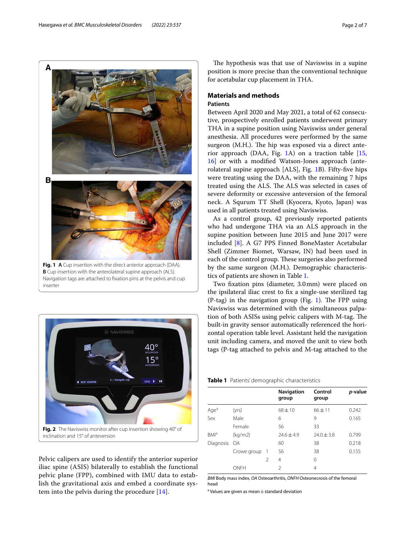Hasegawa *et al. BMC Musculoskeletal Disorders (2022) 23:537* Page 2 of 7



<span id="page-1-0"></span>

<span id="page-1-1"></span>Pelvic calipers are used to identify the anterior superior iliac spine (ASIS) bilaterally to establish the functional pelvic plane (FPP), combined with IMU data to establish the gravitational axis and embed a coordinate system into the pelvis during the procedure [[14\]](#page-5-7).

The hypothesis was that use of Naviswiss in a supine position is more precise than the conventional technique for acetabular cup placement in THA.

## **Materials and methods Patients**

Between April 2020 and May 2021, a total of 62 consecutive, prospectively enrolled patients underwent primary THA in a supine position using Naviswiss under general anesthesia. All procedures were performed by the same surgeon (M.H.). The hip was exposed via a direct anterior approach (DAA, Fig. [1A](#page-1-0)) on a traction table [[15](#page-5-8), [16\]](#page-5-9) or with a modifed Watson-Jones approach (anterolateral supine approach [ALS], Fig. [1B](#page-1-0)). Fifty-fve hips were treating using the DAA, with the remaining 7 hips treated using the ALS. The ALS was selected in cases of severe deformity or excessive anteversion of the femoral neck. A Squrum TT Shell (Kyocera, Kyoto, Japan) was used in all patients treated using Naviswiss.

As a control group, 42 previously reported patients who had undergone THA via an ALS approach in the supine position between June 2015 and June 2017 were included [\[8](#page-5-10)]. A G7 PPS Finned BoneMaster Acetabular Shell (Zimmer Biomet, Warsaw, IN) had been used in each of the control group. These surgeries also performed by the same surgeon (M.H.). Demographic characteristics of patients are shown in Table [1](#page-1-2).

Two fxation pins (diameter, 3.0mm) were placed on the ipsilateral iliac crest to fx a single-use sterilized tag (P-tag) in the navigation group (Fig. [1\)](#page-1-0). The FPP using Naviswiss was determined with the simultaneous palpation of both ASISs using pelvic calipers with M-tag. The built-in gravity sensor automatically referenced the horizontal operation table level. Assistant held the navigation unit including camera, and moved the unit to view both tags (P-tag attached to pelvis and M-tag attached to the

<span id="page-1-2"></span>

|  |  | Table 1 Patients' demographic characteristics |  |  |
|--|--|-----------------------------------------------|--|--|
|--|--|-----------------------------------------------|--|--|

|                         |             |                | Navigation<br>group | Control<br>group | p-value |
|-------------------------|-------------|----------------|---------------------|------------------|---------|
| Age <sup>a</sup>        | (yrs)       |                | $68 \pm 10$         | $66 \pm 11$      | 0.242   |
| Sex                     | Male        |                | 6                   | 9                | 0.165   |
|                         | Female      |                | 56                  | 33               |         |
| <b>BMI</b> <sup>a</sup> | (kq/m2)     |                | $74.6 + 4.9$        | $74.0 + 3.8$     | 0.799   |
| Diagnosis OA            |             |                | 60                  | 38               | 0.218   |
|                         | Crowe group | -1             | 56                  | 38               | 0.155   |
|                         |             | $\mathfrak{D}$ | 4                   | 0                |         |
|                         | ONFH        |                | V                   | 4                |         |

*BMI* Body mass index, *OA* Osteoarthritis, *ONFH* Osteonecrosis of the femoral head

<sup>a</sup> Values are given as mean  $\pm$  standard deviation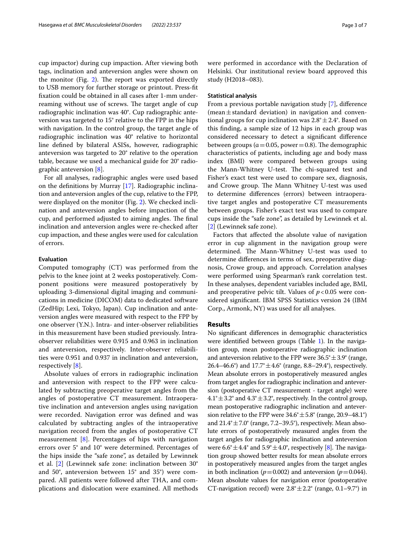cup impactor) during cup impaction. After viewing both tags, inclination and anteversion angles were shown on the monitor (Fig.  $2$ ). The report was exported directly to USB memory for further storage or printout. Press-ft fxation could be obtained in all cases after 1-mm underreaming without use of screws. The target angle of cup radiographic inclination was 40°. Cup radiographic anteversion was targeted to 15° relative to the FPP in the hips with navigation. In the control group, the target angle of radiographic inclination was 40° relative to horizontal line defned by bilateral ASISs, however, radiographic anteversion was targeted to 20° relative to the operation table, because we used a mechanical guide for 20° radiographic anteversion [[8\]](#page-5-10).

For all analyses, radiographic angles were used based on the defnitions by Murray [\[17](#page-5-11)]. Radiographic inclination and anteversion angles of the cup, relative to the FPP, were displayed on the monitor (Fig. [2](#page-1-1)). We checked inclination and anteversion angles before impaction of the cup, and performed adjusted to aiming angles. The final inclination and anteversion angles were re-checked after cup impaction, and these angles were used for calculation of errors.

## **Evaluation**

Computed tomography (CT) was performed from the pelvis to the knee joint at 2 weeks postoperatively. Component positions were measured postoperatively by uploading 3-dimensional digital imaging and communications in medicine (DICOM) data to dedicated software (ZedHip; Lexi, Tokyo, Japan). Cup inclination and anteversion angles were measured with respect to the FPP by one observer (Y.N.). Intra- and inter-observer reliabilities in this measurement have been studied previously. Intraobserver reliabilities were 0.915 and 0.963 in inclination and anteversion, respectively. Inter-observer reliabilities were 0.951 and 0.937 in inclination and anteversion, respectively [[8](#page-5-10)].

Absolute values of errors in radiographic inclination and anteversion with respect to the FPP were calculated by subtracting preoperative target angles from the angles of postoperative CT measurement. Intraoperative inclination and anteversion angles using navigation were recorded. Navigation error was defned and was calculated by subtracting angles of the intraoperative navigation record from the angles of postoperative CT measurement [[8\]](#page-5-10). Percentages of hips with navigation errors over 5° and 10° were determined. Percentages of the hips inside the "safe zone", as detailed by Lewinnek et al. [\[2](#page-5-1)] (Lewinnek safe zone: inclination between 30° and 50°, anteversion between 15° and 35°) were compared. All patients were followed after THA, and complications and dislocation were examined. All methods were performed in accordance with the Declaration of Helsinki. Our institutional review board approved this study (H2018–083).

#### **Statistical analysis**

From a previous portable navigation study [\[7](#page-5-12)], diference  $(mean \pm standard deviation)$  in navigation and conventional groups for cup inclination was  $2.8^{\circ} \pm 2.4^{\circ}$ . Based on this fnding, a sample size of 12 hips in each group was considered necessary to detect a signifcant diference between groups ( $a = 0.05$ , power = 0.8). The demographic characteristics of patients, including age and body mass index (BMI) were compared between groups using the Mann-Whitney U-test. The chi-squared test and Fisher's exact test were used to compare sex, diagnosis, and Crowe group. The Mann Whitney U-test was used to determine diferences (errors) between intraoperative target angles and postoperative CT measurements between groups. Fisher's exact test was used to compare cups inside the "safe zone", as detailed by Lewinnek et al. [[2\]](#page-5-1) (Lewinnek safe zone).

Factors that afected the absolute value of navigation error in cup alignment in the navigation group were determined. The Mann-Whitney U-test was used to determine diferences in terms of sex, preoperative diagnosis, Crowe group, and approach. Correlation analyses were performed using Spearman's rank correlation test. In these analyses, dependent variables included age, BMI, and preoperative pelvic tilt. Values of  $p < 0.05$  were considered signifcant. IBM SPSS Statistics version 24 (IBM Corp., Armonk, NY) was used for all analyses.

#### **Results**

No signifcant diferences in demographic characteristics were identified between groups (Table [1](#page-1-2)). In the navigation group, mean postoperative radiographic inclination and anteversion relative to the FPP were  $36.5^{\circ} \pm 3.9^{\circ}$  (range, 26.4–46.6°) and  $17.7^{\circ} \pm 4.6^{\circ}$  (range, 8.8–29.4°), respectively. Mean absolute errors in postoperatively measured angles from target angles for radiographic inclination and anteversion (postoperative CT measurement - target angle) were  $4.1^{\circ} \pm 3.2^{\circ}$  and  $4.3^{\circ} \pm 3.2^{\circ}$ , respectively. In the control group, mean postoperative radiographic inclination and anteversion relative to the FPP were  $34.6^{\circ} \pm 5.8^{\circ}$  (range, 20.9–48.1°) and  $21.4^{\circ} \pm 7.0^{\circ}$  (range, 7.2–39.5°), respectively. Mean absolute errors of postoperatively measured angles from the target angles for radiographic inclination and anteversion were  $6.6^{\circ} \pm 4.4^{\circ}$  and  $5.9^{\circ} \pm 4.0^{\circ}$ , respectively [\[8](#page-5-10)]. The navigation group showed better results for mean absolute errors in postoperatively measured angles from the target angles in both inclination ( $p = 0.002$ ) and anteversion ( $p = 0.044$ ). Mean absolute values for navigation error (postoperative CT-navigation record) were  $2.8^{\circ} \pm 2.2^{\circ}$  (range, 0.1–9.7°) in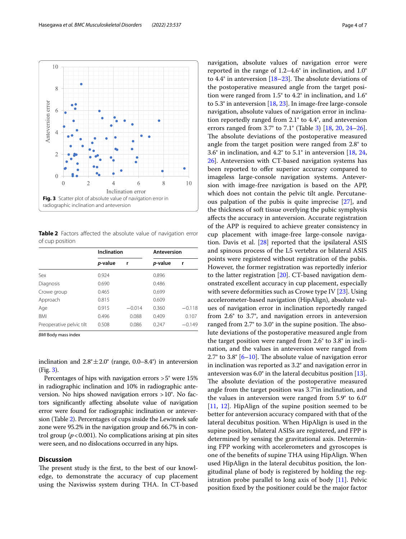

<span id="page-3-1"></span><span id="page-3-0"></span>**Table 2** Factors affected the absolute value of navigation error of cup position

|                          | Inclination |          | Anteversion |          |  |
|--------------------------|-------------|----------|-------------|----------|--|
|                          | p-value     | r        | p-value     |          |  |
| Sex                      | 0.924       |          | 0.896       |          |  |
| Diagnosis                | 0.690       |          | 0.486       |          |  |
| Crowe group              | 0.465       |          | 0.699       |          |  |
| Approach                 | 0.815       |          | 0.609       |          |  |
| Age                      | 0.915       | $-0.014$ | 0.360       | $-0.118$ |  |
| <b>BMI</b>               | 0.496       | 0.088    | 0.409       | 0.107    |  |
| Preoperative pelvic tilt | 0.508       | 0.086    | 0.247       | $-0.149$ |  |

*BMI* Body mass index

inclination and  $2.8^{\circ} \pm 2.0^{\circ}$  (range, 0.0–8.4°) in anteversion (Fig. [3\)](#page-3-0).

Percentages of hips with navigation errors >5° were 15% in radiographic inclination and 10% in radiographic anteversion. No hips showed navigation errors >10°. No factors signifcantly afecting absolute value of navigation error were found for radiographic inclination or anteversion (Table [2](#page-3-1)). Percentages of cups inside the Lewinnek safe zone were 95.2% in the navigation group and 66.7% in control group  $(p<0.001)$ . No complications arising at pin sites were seen, and no dislocations occurred in any hips.

## **Discussion**

The present study is the first, to the best of our knowledge, to demonstrate the accuracy of cup placement using the Naviswiss system during THA. In CT-based navigation, absolute values of navigation error were reported in the range of 1.2–4.6° in inclination, and 1.0° to  $4.4^{\circ}$  in anteversion [\[18](#page-6-0)[–23\]](#page-6-1). The absolute deviations of the postoperative measured angle from the target position were ranged from 1.5° to 4.2° in inclination, and 1.6° to 5.3° in anteversion [\[18](#page-6-0), [23\]](#page-6-1). In image-free large-console navigation, absolute values of navigation error in inclination reportedly ranged from 2.1° to 4.4°, and anteversion errors ranged from 3.7° to 7.1° (Table [3\)](#page-4-0) [\[18](#page-6-0), [20](#page-6-2), [24](#page-6-3)[–26](#page-6-4)]. The absolute deviations of the postoperative measured angle from the target position were ranged from 2.8° to 3.6° in inclination, and 4.2° to 5.1° in anteversion [[18](#page-6-0), [24](#page-6-3), [26\]](#page-6-4). Anteversion with CT-based navigation systems has been reported to offer superior accuracy compared to imageless large-console navigation systems. Anteversion with image-free navigation is based on the APP, which does not contain the pelvic tilt angle. Percutaneous palpation of the pubis is quite imprecise [\[27\]](#page-6-5), and the thickness of soft tissue overlying the pubic symphysis afects the accuracy in anteversion. Accurate registration of the APP is required to achieve greater consistency in cup placement with image-free large-console navigation. Davis et al. [\[28](#page-6-6)] reported that the ipsilateral ASIS and spinous process of the L5 vertebra or bilateral ASIS points were registered without registration of the pubis. However, the former registration was reportedly inferior to the latter registration [\[20\]](#page-6-2). CT-based navigation demonstrated excellent accuracy in cup placement, especially with severe deformities such as Crowe type IV [[23](#page-6-1)]. Using accelerometer-based navigation (HipAlign), absolute values of navigation error in inclination reportedly ranged from 2.6° to 3.7°, and navigation errors in anteversion ranged from  $2.7^{\circ}$  to  $3.0^{\circ}$  in the supine position. The absolute deviations of the postoperative measured angle from the target position were ranged from 2.6° to 3.8° in inclination, and the values in anteversion were ranged from 2.7° to 3.8°  $[6–10]$  $[6–10]$  $[6–10]$ . The absolute value of navigation error in inclination was reported as 3.2° and navigation error in anteversion was 6.0° in the lateral decubitus position [\[13](#page-5-6)]. The absolute deviation of the postoperative measured angle from the target position was 3.7°in inclination, and the values in anteversion were ranged from 5.9° to 6.0° [[11,](#page-5-14) [12\]](#page-5-15). HipAlign of the supine position seemed to be better for anteversion accuracy compared with that of the lateral decubitus position. When HipAlign is used in the supine position, bilateral ASISs are registered, and FPP is determined by sensing the gravitational axis. Determining FPP working with accelerometers and gyroscopes is one of the benefts of supine THA using HipAlign. When used HipAlign in the lateral decubitus position, the longitudinal plane of body is registered by holding the registration probe parallel to long axis of body [[11\]](#page-5-14). Pelvic position fxed by the positioner could be the major factor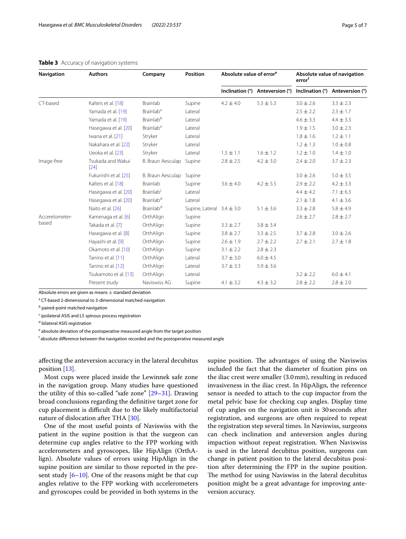| <b>Navigation</b>       | <b>Authors</b>              | Company                      | Position                      | Absolute value of error <sup>e</sup> |                                 | Absolute value of navigation<br>error <sup>f</sup> |                                 |
|-------------------------|-----------------------------|------------------------------|-------------------------------|--------------------------------------|---------------------------------|----------------------------------------------------|---------------------------------|
|                         |                             |                              |                               |                                      | Inclination (°) Anteversion (°) |                                                    | Inclination (°) Anteversion (°) |
| CT-based                | Kalteis et al. [18]         | Brainlab                     | Supine                        | $4.2 \pm 4.0$                        | $5.3 \pm 5.3$                   | $3.0 \pm 2.6$                                      | $3.3 \pm 2.3$                   |
|                         | Yamada et al. [19]          | Brainlab <sup>a</sup>        | Lateral                       |                                      |                                 | $2.5 \pm 2.2$                                      | $2.3 \pm 1.7$                   |
|                         | Yamada et al. [19]          | <b>Brainlab</b> <sup>b</sup> | Lateral                       |                                      |                                 | $4.6 \pm 3.3$                                      | $4.4 \pm 3.3$                   |
|                         | Hasegawa et al. [20]        | <b>Brainlab<sup>a</sup></b>  | Lateral                       |                                      |                                 | $1.9 \pm 1.5$                                      | $3.0 \pm 2.3$                   |
|                         | Iwana et al. [21]           | Stryker                      | Lateral                       |                                      |                                 | $1.8 \pm 1.6$                                      | $1.2 \pm 1.1$                   |
|                         | Nakahara et al. [22]        | Stryker                      | Lateral                       |                                      |                                 | $1.2 \pm 1.3$                                      | $1.0 \pm 0.8$                   |
|                         | Ueoka et al. [23]           | Stryker                      | Lateral                       | $1.5 \pm 1.1$                        | $1.6 \pm 1.2$                   | $1.2 \pm 1.0$                                      | $1.4 \pm 1.0$                   |
| Image-free              | Tsukada and Wakui<br>$[24]$ | B. Braun Aesculap            | Supine                        | $2.8 \pm 2.5$                        | $4.2 \pm 3.0$                   | $2.4 \pm 2.0$                                      | $3.7 \pm 2.3$                   |
|                         | Fukunishi et al. [25]       | B. Braun Aesculap            | Supine                        |                                      |                                 | $3.0 \pm 2.6$                                      | $5.0 \pm 3.5$                   |
|                         | Kalteis et al. [18]         | <b>Brainlab</b>              | Supine                        | $3.6 \pm 4.0$                        | $4.2 \pm 5.5$                   | $2.9 \pm 2.2$                                      | $4.2 \pm 3.3$                   |
|                         | Hasegawa et al. [20]        | Brainlab <sup>c</sup>        | Lateral                       |                                      |                                 | $4.4 \pm 4.2$                                      | $7.1 \pm 6.3$                   |
|                         | Hasegawa et al. [20]        | Brainlab <sup>d</sup>        | Lateral                       |                                      |                                 | $2.1 \pm 1.8$                                      | $4.1 \pm 3.6$                   |
|                         | Naito et al. [26]           | <b>Brainlab</b> <sup>d</sup> | Supine, Lateral $3.4 \pm 3.0$ |                                      | $5.1 \pm 3.6$                   | $3.3 \pm 2.8$                                      | $5.8 \pm 4.9$                   |
| Accerelometer-<br>based | Kamenaga et al. [6]         | OrthAlign                    | Supine                        |                                      |                                 | $2.6 \pm 2.7$                                      | $2.8 \pm 2.7$                   |
|                         | Takada et al. [7]           | OrthAlign                    | Supine                        | $3.3 \pm 2.7$                        | $3.8 \pm 3.4$                   |                                                    |                                 |
|                         | Hasegawa et al. [8]         | OrthAlign                    | Supine                        | $3.8 \pm 2.7$                        | $3.3 \pm 2.5$                   | $3.7 \pm 2.8$                                      | $3.0 \pm 2.6$                   |
|                         | Hayashi et al. [9]          | OrthAlign                    | Supine                        | $2.6 \pm 1.9$                        | $2.7 \pm 2.2$                   | $2.7 \pm 2.1$                                      | $2.7 \pm 1.8$                   |
|                         | Okamoto et al. [10]         | OrthAlign                    | Supine                        | $3.1 \pm 2.2$                        | $2.8 \pm 2.3$                   |                                                    |                                 |
|                         | Tanino et al. [11]          | OrthAlign                    | Lateral                       | $3.7 \pm 3.0$                        | $6.0 \pm 4.5$                   |                                                    |                                 |
|                         | Tanino et al. [12]          | OrthAlign                    | Lateral                       | $3.7 \pm 3.3$                        | $5.9 \pm 3.6$                   |                                                    |                                 |
|                         | Tsukamoto et al. [13]       | OrthAlign                    | Lateral                       |                                      |                                 | $3.2 \pm 2.2$                                      | $6.0 \pm 4.1$                   |
|                         | Present study               | Naviswiss AG                 | Supine                        | $4.1 \pm 3.2$                        | $4.3 \pm 3.2$                   | $2.8 \pm 2.2$                                      | $2.8 \pm 2.0$                   |

#### <span id="page-4-0"></span>**Table 3** Accuracy of navigation systems

Absolute errors are given as means  $\pm$  standard deviation <sup>a</sup> CT-based 2-dimensional to 3-dimensional matched navigation

<sup>b</sup> paired-point matched navigation

<sup>c</sup> ipsilateral ASIS and L5 spinous process registration

<sup>d</sup> bilateral ASIS registration

<sup>e</sup> absolute deviation of the postoperative measured angle from the target position

<sup>f</sup> absolute difference between the navigation recorded and the postoperative measured angle

afecting the anteversion accuracy in the lateral decubitus position [[13\]](#page-5-6).

Most cups were placed inside the Lewinnek safe zone in the navigation group. Many studies have questioned the utility of this so-called "safe zone" [\[29](#page-6-7)–[31\]](#page-6-8). Drawing broad conclusions regarding the defnitive target zone for cup placement is difficult due to the likely multifactorial nature of dislocation after THA [\[30\]](#page-6-9).

One of the most useful points of Naviswiss with the patient in the supine position is that the surgeon can determine cup angles relative to the FPP working with accelerometers and gyroscopes, like HipAlign (OrthAlign). Absolute values of errors using HipAlign in the supine position are similar to those reported in the present study  $[6–10]$  $[6–10]$  $[6–10]$ . One of the reasons might be that cup angles relative to the FPP working with accelerometers and gyroscopes could be provided in both systems in the

supine position. The advantages of using the Naviswiss included the fact that the diameter of fxation pins on the iliac crest were smaller (3.0mm), resulting in reduced invasiveness in the iliac crest. In HipAlign, the reference sensor is needed to attach to the cup impactor from the metal pelvic base for checking cup angles. Display time of cup angles on the navigation unit is 30seconds after registration, and surgeons are often required to repeat the registration step several times. In Naviswiss, surgeons can check inclination and anteversion angles during impaction without repeat registration. When Naviswiss is used in the lateral decubitus position, surgeons can change in patient position to the lateral decubitus position after determining the FPP in the supine position. The method for using Naviswiss in the lateral decubitus position might be a great advantage for improving anteversion accuracy.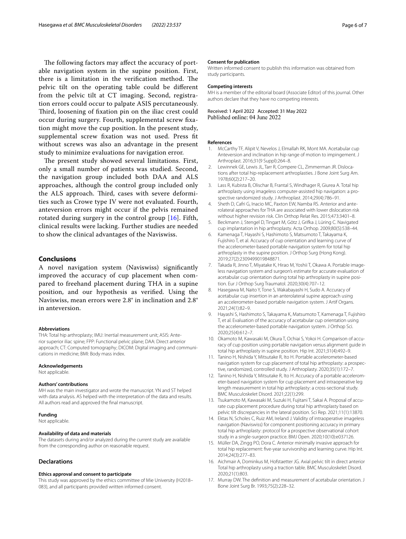The following factors may affect the accuracy of portable navigation system in the supine position. First, there is a limitation in the verification method. The pelvic tilt on the operating table could be diferent from the pelvic tilt at CT imaging. Second, registration errors could occur to palpate ASIS percutaneously. Third, loosening of fixation pin on the iliac crest could occur during surgery. Fourth, supplemental screw fxation might move the cup position. In the present study, supplemental screw fxation was not used. Press ft without screws was also an advantage in the present study to minimize evaluations for navigation error.

The present study showed several limitations. First, only a small number of patients was studied. Second, the navigation group included both DAA and ALS approaches, although the control group included only the ALS approach. Third, cases with severe deformities such as Crowe type IV were not evaluated. Fourth, anteversion errors might occur if the pelvis remained rotated during surgery in the control group [\[16\]](#page-5-9). Fifth, clinical results were lacking. Further studies are needed to show the clinical advantages of the Naviswiss.

## **Conclusions**

A novel navigation system (Naviswiss) signifcantly improved the accuracy of cup placement when compared to freehand placement during THA in a supine position, and our hypothesis as verifed. Using the Naviswiss, mean errors were 2.8° in inclination and 2.8° in anteversion.

#### **Abbreviations**

THA: Total hip arthroplasty; IMU: Inertial measurement unit; ASIS: Anterior superior iliac spine; FPP: Functional pelvic plane; DAA: Direct anterior approach; CT: Computed tomography; DICOM: Digital imaging and communications in medicine; BMI: Body mass index.

#### **Acknowledgements**

Not applicable.

#### **Authors' contributions**

MH was the main investigator and wrote the manuscript. YN and ST helped with data analysis. AS helped with the interpretation of the data and results. All authors read and approved the fnal manuscript.

#### **Funding**

Not applicable.

## **Availability of data and materials**

The datasets during and/or analyzed during the current study are available from the corresponding author on reasonable request.

#### **Declarations**

#### **Ethics approval and consent to participate**

This study was approved by the ethics committee of Mie University (H2018– 083), and all participants provided written informed consent.

#### **Consent for publication**

Written informed consent to publish this information was obtained from study participants.

#### **Competing interests**

MH is a member of the editorial board (Associate Editor) of this journal. Other authors declare that they have no competing interests.

Received: 1 April 2022 Accepted: 31 May 2022<br>Published online: 04 June 2022

#### **References**

- <span id="page-5-0"></span>1. McCarthy TF, Alipit V, Nevelos J, Elmallah RK, Mont MA. Acetabular cup Anteversion and inclination in hip range of motion to impingement. J Arthroplast. 2016;31(9 Suppl):264–8.
- <span id="page-5-1"></span>2. Lewinnek GE, Lewis JL, Tarr R, Compere CL, Zimmerman JR. Dislocations after total hip-replacement arthroplasties. J Bone Joint Surg Am. 1978;60(2):217–20.
- <span id="page-5-2"></span>3. Lass R, Kubista B, Olischar B, Frantal S, Windhager R, Giurea A. Total hip arthroplasty using imageless computer-assisted hip navigation: a prospective randomized study. J Arthroplast. 2014;29(4):786–91.
- <span id="page-5-3"></span>4. Sheth D, Cafri G, Inacio MC, Paxton EW, Namba RS. Anterior and anterolateral approaches for THA are associated with lower dislocation risk without higher revision risk. Clin Orthop Relat Res. 2015;473:3401–8.
- <span id="page-5-4"></span>5. Beckmann J, Stengel D, Tingart M, Götz J, Grifka J, Lüring C. Navigated cup implantation in hip arthroplasty. Acta Orthop. 2009;80(5):538–44.
- <span id="page-5-5"></span>6. Kamenaga T, Hayashi S, Hashimoto S, Matsumoto T, Takayama K, Fujishiro T, et al. Accuracy of cup orientation and learning curve of the accelerometer-based portable navigation system for total hip arthroplasty in the supine position. J Orthop Surg (Hong Kong). 2019;27(2):2309499019848871.
- <span id="page-5-12"></span>7. Takada R, Jinno T, Miyatake K, Hirao M, Yoshii T, Okawa A. Portable imageless navigation system and surgeon's estimate for accurate evaluation of acetabular cup orientation during total hip arthroplasty in supine position. Eur J Orthop Surg Traumatol. 2020;30(4):707–12.
- <span id="page-5-10"></span>8. Hasegawa M, Naito Y, Tone S, Wakabayashi H, Sudo A, Accuracy of acetabular cup insertion in an anterolateral supine approach using an accelerometer-based portable navigation system. J Artif Organs. 2021;24(1):82–9.
- <span id="page-5-16"></span>9. Hayashi S, Hashimoto S, Takayama K, Matsumoto T, Kamenaga T, Fujishiro T, et al. Evaluation of the accuracy of acetabular cup orientation using the accelerometer-based portable navigation system. J Orthop Sci. 2020;25(4):612–7.
- <span id="page-5-13"></span>10. Okamoto M, Kawasaki M, Okura T, Ochiai S, Yokoi H. Comparison of accuracy of cup position using portable navigation versus alignment guide in total hip arthroplasty in supine position. Hip Int. 2021;31(4):492–9.
- <span id="page-5-14"></span>11. Tanino H, Nishida Y, Mitsutake R, Ito H. Portable accelerometer-based navigation system for cup placement of total hip arthroplasty: a prospective, randomized, controlled study. J Arthroplasty. 2020;35(1):172–7.
- <span id="page-5-15"></span>12. Tanino H, Nishida Y, Mitsutake R, Ito H. Accuracy of a portable accelerometer-based navigation system for cup placement and intraoperative leg length measurement in total hip arthroplasty: a cross-sectional study. BMC Musculoskelet Disord. 2021;22(1):299.
- <span id="page-5-6"></span>13. Tsukamoto M, Kawasaki M, Suzuki H, Fujitani T, Sakai A. Proposal of accurate cup placement procedure during total hip arthroplasty based on pelvic tilt discrepancies in the lateral position. Sci Rep. 2021;11(1):13870.
- <span id="page-5-7"></span>14. Ektas N, Scholes C, Ruiz AM, Ireland J. Validity of intraoperative imageless navigation (Naviswiss) for component positioning accuracy in primary total hip arthroplasty: protocol for a prospective observational cohort study in a single-surgeon practice. BMJ Open. 2020;10(10):e037126.
- <span id="page-5-8"></span>15. Müller DA, Zingg PO, Dora C. Anterior minimally invasive approach for total hip replacement: fve-year survivorship and learning curve. Hip Int. 2014;24(3):277–83.
- <span id="page-5-9"></span>16. Aichmair A, Dominkus M, Hofstaetter JG. Axial pelvic tilt in direct anterior Total hip arthroplasty using a traction table. BMC Musculoskelet Disord. 2020;21(1):803.
- <span id="page-5-11"></span>17. Murray DW. The defnition and measurement of acetabular orientation. J Bone Joint Surg Br. 1993;75(2):228–32.